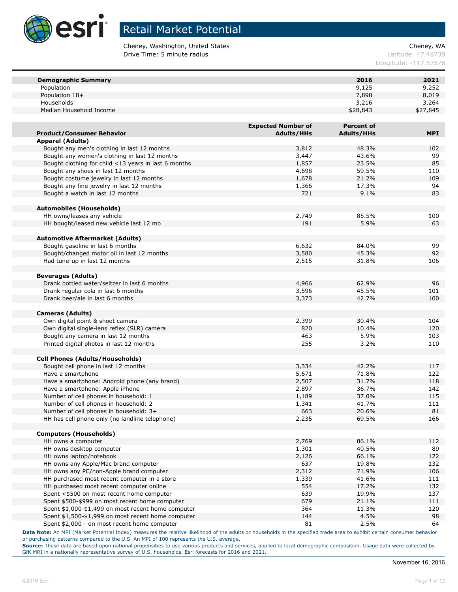

Cheney, Washington, United States Cheney, WA **Drive Time: 5 minute radius Contract Contract Contract Contract Contract Contract Contract Contract Contract Contract Contract Contract Contract Contract Contract Contract Contract Contract Contract Contract Contract Co** 

Longitude: -117.57576

| <b>Demographic Summary</b>                           |                           | 2016              | 2021       |
|------------------------------------------------------|---------------------------|-------------------|------------|
| Population                                           |                           | 9,125             | 9,252      |
| Population 18+                                       |                           | 7,898             | 8,019      |
| Households                                           |                           | 3,216             | 3,264      |
| Median Household Income                              |                           | \$28,843          | \$27,845   |
|                                                      |                           |                   |            |
|                                                      | <b>Expected Number of</b> | <b>Percent of</b> |            |
| <b>Product/Consumer Behavior</b>                     | <b>Adults/HHs</b>         | <b>Adults/HHs</b> | <b>MPI</b> |
| <b>Apparel (Adults)</b>                              |                           |                   |            |
| Bought any men's clothing in last 12 months          | 3,812                     | 48.3%             | 102        |
| Bought any women's clothing in last 12 months        | 3,447                     | 43.6%             | 99         |
| Bought clothing for child <13 years in last 6 months | 1,857                     | 23.5%             | 85         |
| Bought any shoes in last 12 months                   | 4,698                     | 59.5%             | 110        |
| Bought costume jewelry in last 12 months             |                           |                   |            |
|                                                      | 1,678                     | 21.2%             | 109        |
| Bought any fine jewelry in last 12 months            | 1,366                     | 17.3%             | 94         |
| Bought a watch in last 12 months                     | 721                       | 9.1%              | 83         |
|                                                      |                           |                   |            |
| <b>Automobiles (Households)</b>                      |                           |                   |            |
| HH owns/leases any vehicle                           | 2,749                     | 85.5%             | 100        |
| HH bought/leased new vehicle last 12 mo              | 191                       | 5.9%              | 63         |
|                                                      |                           |                   |            |
| <b>Automotive Aftermarket (Adults)</b>               |                           |                   |            |
| Bought gasoline in last 6 months                     | 6,632                     | 84.0%             | 99         |
| Bought/changed motor oil in last 12 months           | 3,580                     | 45.3%             | 92         |
| Had tune-up in last 12 months                        | 2,515                     | 31.8%             | 106        |
|                                                      |                           |                   |            |
| <b>Beverages (Adults)</b>                            |                           |                   |            |
| Drank bottled water/seltzer in last 6 months         | 4,966                     | 62.9%             | 96         |
| Drank regular cola in last 6 months                  | 3,596                     | 45.5%             | 101        |
| Drank beer/ale in last 6 months                      | 3,373                     | 42.7%             | 100        |
| <b>Cameras (Adults)</b>                              |                           |                   |            |
| Own digital point & shoot camera                     |                           | 30.4%             | 104        |
|                                                      | 2,399<br>820              | 10.4%             |            |
| Own digital single-lens reflex (SLR) camera          |                           |                   | 120        |
| Bought any camera in last 12 months                  | 463<br>255                | 5.9%              | 103        |
| Printed digital photos in last 12 months             |                           | 3.2%              | 110        |
| <b>Cell Phones (Adults/Households)</b>               |                           |                   |            |
| Bought cell phone in last 12 months                  | 3,334                     | 42.2%             | 117        |
| Have a smartphone                                    | 5,671                     | 71.8%             | 122        |
|                                                      | 2,507                     | 31.7%             | 118        |
| Have a smartphone: Android phone (any brand)         |                           |                   |            |
| Have a smartphone: Apple iPhone                      | 2,897                     | 36.7%             | 142        |
| Number of cell phones in household: 1                | 1,189                     | 37.0%             | 115        |
| Number of cell phones in household: 2                | 1,341                     | 41.7%             | 111        |
| Number of cell phones in household: 3+               | 663                       | 20.6%             | 81         |
| HH has cell phone only (no landline telephone)       | 2,235                     | 69.5%             | 166        |
| <b>Computers (Households)</b>                        |                           |                   |            |
| HH owns a computer                                   |                           | 86.1%             |            |
|                                                      | 2,769                     |                   | 112        |
| HH owns desktop computer                             | 1,301                     | 40.5%             | 89         |
| HH owns laptop/notebook                              | 2,126                     | 66.1%             | 122        |
| HH owns any Apple/Mac brand computer                 | 637                       | 19.8%             | 132        |
| HH owns any PC/non-Apple brand computer              | 2,312                     | 71.9%             | 106        |
| HH purchased most recent computer in a store         | 1,339                     | 41.6%             | 111        |
| HH purchased most recent computer online             | 554                       | 17.2%             | 132        |
| Spent <\$500 on most recent home computer            | 639                       | 19.9%             | 137        |
| Spent \$500-\$999 on most recent home computer       | 679                       | 21.1%             | 111        |
| Spent \$1,000-\$1,499 on most recent home computer   | 364                       | 11.3%             | 120        |
| Spent \$1,500-\$1,999 on most recent home computer   | 144                       | 4.5%              | 98         |
| Spent \$2,000+ on most recent home computer          | 81                        | 2.5%              | 64         |

**Data Note:** An MPI (Market Potential Index) measures the relative likelihood of the adults or households in the specified trade area to exhibit certain consumer behavior or purchasing patterns compared to the U.S. An MPI of 100 represents the U.S. average.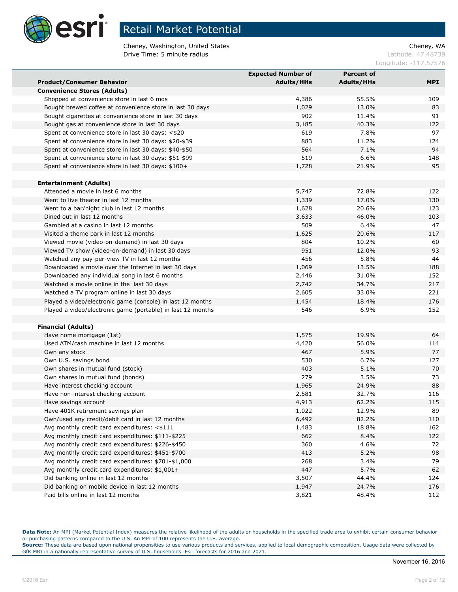

Cheney, Washington, United States Cheney, WA **Drive Time: 5 minute radius Contract Contract Contract Contract Contract Contract Contract Contract Contract Contract Contract Contract Contract Contract Contract Contract Contract Contract Contract Contract Contract Co** 

Longitude: -117.57576

|                                                             | <b>Expected Number of</b> | <b>Percent of</b> |            |
|-------------------------------------------------------------|---------------------------|-------------------|------------|
| <b>Product/Consumer Behavior</b>                            | <b>Adults/HHs</b>         | <b>Adults/HHs</b> | <b>MPI</b> |
| <b>Convenience Stores (Adults)</b>                          |                           |                   |            |
| Shopped at convenience store in last 6 mos                  | 4,386                     | 55.5%             | 109        |
| Bought brewed coffee at convenience store in last 30 days   | 1,029                     | 13.0%             | 83         |
| Bought cigarettes at convenience store in last 30 days      | 902                       | 11.4%             | 91         |
| Bought gas at convenience store in last 30 days             | 3,185                     | 40.3%             | 122        |
| Spent at convenience store in last 30 days: <\$20           | 619                       | 7.8%              | 97         |
| Spent at convenience store in last 30 days: \$20-\$39       | 883                       | 11.2%             | 124        |
| Spent at convenience store in last 30 days: \$40-\$50       | 564                       | 7.1%              | 94         |
| Spent at convenience store in last 30 days: \$51-\$99       | 519                       | 6.6%              | 148        |
| Spent at convenience store in last 30 days: \$100+          | 1,728                     | 21.9%             | 95         |
|                                                             |                           |                   |            |
| <b>Entertainment (Adults)</b>                               |                           |                   |            |
| Attended a movie in last 6 months                           | 5,747                     | 72.8%             | 122        |
| Went to live theater in last 12 months                      | 1,339                     | 17.0%             | 130        |
| Went to a bar/night club in last 12 months                  | 1,628                     | 20.6%             | 123        |
| Dined out in last 12 months                                 | 3,633                     | 46.0%             | 103        |
| Gambled at a casino in last 12 months                       | 509                       | 6.4%              | 47         |
| Visited a theme park in last 12 months                      | 1,625                     | 20.6%             | 117        |
| Viewed movie (video-on-demand) in last 30 days              | 804                       | 10.2%             | 60         |
| Viewed TV show (video-on-demand) in last 30 days            | 951                       | 12.0%             | 93         |
| Watched any pay-per-view TV in last 12 months               | 456                       | 5.8%              | 44         |
| Downloaded a movie over the Internet in last 30 days        | 1,069                     | 13.5%             | 188        |
| Downloaded any individual song in last 6 months             | 2,446                     | 31.0%             | 152        |
| Watched a movie online in the last 30 days                  | 2,742                     | 34.7%             | 217        |
| Watched a TV program online in last 30 days                 | 2,605                     | 33.0%             | 221        |
| Played a video/electronic game (console) in last 12 months  | 1,454                     | 18.4%             | 176        |
| Played a video/electronic game (portable) in last 12 months | 546                       | 6.9%              | 152        |
|                                                             |                           |                   |            |
| <b>Financial (Adults)</b>                                   |                           |                   |            |
| Have home mortgage (1st)                                    | 1,575                     | 19.9%             | 64         |
| Used ATM/cash machine in last 12 months                     | 4,420                     | 56.0%             | 114        |
| Own any stock                                               | 467                       | 5.9%              | 77         |
| Own U.S. savings bond                                       | 530                       | 6.7%              | 127        |
| Own shares in mutual fund (stock)                           | 403                       | 5.1%              | 70         |
| Own shares in mutual fund (bonds)                           | 279                       | 3.5%              | 73         |
| Have interest checking account                              | 1,965                     | 24.9%             | 88         |
| Have non-interest checking account                          | 2,581                     | 32.7%             | 116        |
| Have savings account                                        | 4,913                     | 62.2%             | 115        |
| Have 401K retirement savings plan                           | 1,022                     | 12.9%             | 89         |
| Own/used any credit/debit card in last 12 months            | 6,492                     | 82.2%             | 110        |
| Avg monthly credit card expenditures: <\$111                | 1,483                     | 18.8%             | 162        |
| Avg monthly credit card expenditures: \$111-\$225           | 662                       | 8.4%              | 122        |
| Avg monthly credit card expenditures: \$226-\$450           | 360                       | 4.6%              | 72         |
| Avg monthly credit card expenditures: \$451-\$700           | 413                       | 5.2%              | 98         |
| Avg monthly credit card expenditures: \$701-\$1,000         | 268                       | 3.4%              | 79         |
| Avg monthly credit card expenditures: \$1,001+              | 447                       | 5.7%              | 62         |
| Did banking online in last 12 months                        | 3,507                     | 44.4%             | 124        |
| Did banking on mobile device in last 12 months              | 1,947                     | 24.7%             | 176        |
| Paid bills online in last 12 months                         | 3,821                     | 48.4%             | 112        |

**Data Note:** An MPI (Market Potential Index) measures the relative likelihood of the adults or households in the specified trade area to exhibit certain consumer behavior or purchasing patterns compared to the U.S. An MPI of 100 represents the U.S. average.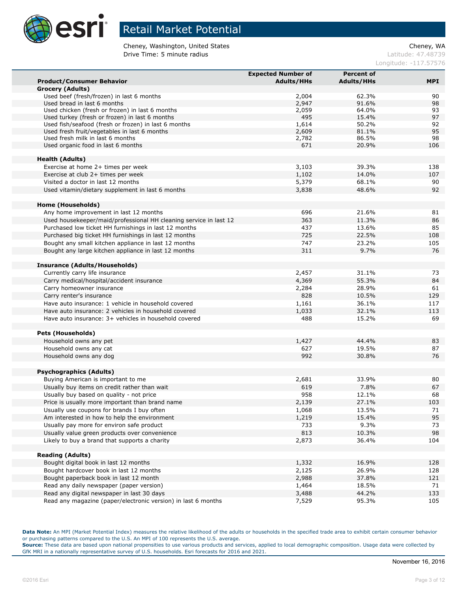

Cheney, Washington, United States Cheney, WA **Drive Time: 5 minute radius Contract Contract Contract Contract Contract Contract Contract Contract Contract Contract Contract Contract Contract Contract Contract Contract Contract Contract Contract Contract Contract Co** 

Longitude: -117.57576

|                                                                                             | <b>Expected Number of</b> | <b>Percent of</b> |           |
|---------------------------------------------------------------------------------------------|---------------------------|-------------------|-----------|
| <b>Product/Consumer Behavior</b>                                                            | <b>Adults/HHs</b>         | <b>Adults/HHs</b> | MPI.      |
| Grocery (Adults)                                                                            |                           |                   |           |
| Used beef (fresh/frozen) in last 6 months                                                   | 2,004                     | 62.3%             | 90        |
| Used bread in last 6 months                                                                 | 2,947                     | 91.6%             | 98        |
| Used chicken (fresh or frozen) in last 6 months                                             | 2,059                     | 64.0%             | 93        |
| Used turkey (fresh or frozen) in last 6 months                                              | 495                       | 15.4%             | 97        |
| Used fish/seafood (fresh or frozen) in last 6 months                                        | 1,614                     | 50.2%             | 92        |
| Used fresh fruit/vegetables in last 6 months                                                | 2,609                     | 81.1%             | 95        |
| Used fresh milk in last 6 months                                                            | 2,782<br>671              | 86.5%<br>20.9%    | 98<br>106 |
| Used organic food in last 6 months                                                          |                           |                   |           |
| <b>Health (Adults)</b>                                                                      |                           |                   |           |
| Exercise at home 2+ times per week                                                          | 3,103                     | 39.3%             | 138       |
| Exercise at club 2+ times per week                                                          | 1,102                     | 14.0%             | 107       |
| Visited a doctor in last 12 months                                                          | 5,379                     | 68.1%             | 90        |
| Used vitamin/dietary supplement in last 6 months                                            | 3,838                     | 48.6%             | 92        |
|                                                                                             |                           |                   |           |
| Home (Households)                                                                           |                           |                   |           |
| Any home improvement in last 12 months                                                      | 696                       | 21.6%             | 81        |
| Used housekeeper/maid/professional HH cleaning service in last 12                           | 363                       | 11.3%             | 86        |
| Purchased low ticket HH furnishings in last 12 months                                       | 437                       | 13.6%             | 85        |
| Purchased big ticket HH furnishings in last 12 months                                       | 725                       | 22.5%             | 108       |
| Bought any small kitchen appliance in last 12 months                                        | 747                       | 23.2%             | 105       |
| Bought any large kitchen appliance in last 12 months                                        | 311                       | 9.7%              | 76        |
|                                                                                             |                           |                   |           |
| <b>Insurance (Adults/Households)</b>                                                        |                           |                   |           |
| Currently carry life insurance                                                              | 2,457                     | 31.1%             | 73        |
| Carry medical/hospital/accident insurance                                                   | 4,369                     | 55.3%             | 84        |
| Carry homeowner insurance                                                                   | 2,284                     | 28.9%             | 61        |
| Carry renter's insurance                                                                    | 828                       | 10.5%             | 129       |
| Have auto insurance: 1 vehicle in household covered                                         | 1,161                     | 36.1%             | 117       |
| Have auto insurance: 2 vehicles in household covered                                        | 1,033                     | 32.1%             | 113       |
| Have auto insurance: 3+ vehicles in household covered                                       | 488                       | 15.2%             | 69        |
|                                                                                             |                           |                   |           |
| <b>Pets (Households)</b>                                                                    |                           |                   |           |
| Household owns any pet                                                                      | 1,427                     | 44.4%             | 83        |
| Household owns any cat                                                                      | 627                       | 19.5%             | 87        |
| Household owns any dog                                                                      | 992                       | 30.8%             | 76        |
|                                                                                             |                           |                   |           |
| <b>Psychographics (Adults)</b>                                                              |                           |                   |           |
| Buying American is important to me                                                          | 2,681                     | 33.9%             | 80        |
| Usually buy items on credit rather than wait                                                | 619<br>958                | 7.8%              | 67<br>68  |
| Usually buy based on quality - not price<br>Price is usually more important than brand name | 2,139                     | 12.1%<br>27.1%    | 103       |
| Usually use coupons for brands I buy often                                                  | 1,068                     | 13.5%             | 71        |
| Am interested in how to help the environment                                                | 1,219                     | 15.4%             | 95        |
| Usually pay more for environ safe product                                                   | 733                       | 9.3%              | 73        |
| Usually value green products over convenience                                               | 813                       | 10.3%             | 98        |
| Likely to buy a brand that supports a charity                                               | 2,873                     | 36.4%             | 104       |
|                                                                                             |                           |                   |           |
| <b>Reading (Adults)</b>                                                                     |                           |                   |           |
| Bought digital book in last 12 months                                                       | 1,332                     | 16.9%             | 128       |
| Bought hardcover book in last 12 months                                                     | 2,125                     | 26.9%             | 128       |
| Bought paperback book in last 12 month                                                      | 2,988                     | 37.8%             | 121       |
| Read any daily newspaper (paper version)                                                    | 1,464                     | 18.5%             | 71        |
| Read any digital newspaper in last 30 days                                                  | 3,488                     | 44.2%             | 133       |
| Read any magazine (paper/electronic version) in last 6 months                               | 7,529                     | 95.3%             | 105       |

**Data Note:** An MPI (Market Potential Index) measures the relative likelihood of the adults or households in the specified trade area to exhibit certain consumer behavior or purchasing patterns compared to the U.S. An MPI of 100 represents the U.S. average.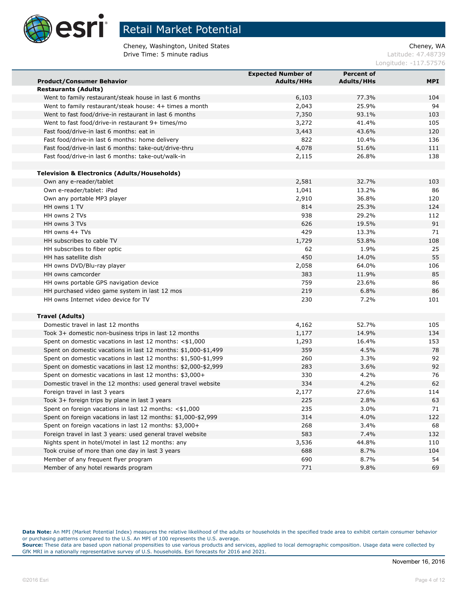

Cheney, Washington, United States Cheney, WA **Drive Time: 5 minute radius Contract Contract Contract Contract Contract Contract Contract Contract Contract Contract Contract Contract Contract Contract Contract Contract Contract Contract Contract Contract Contract Co** 

Longitude: -117.57576

|                                                                | <b>Expected Number of</b> | <b>Percent of</b> |            |
|----------------------------------------------------------------|---------------------------|-------------------|------------|
| <b>Product/Consumer Behavior</b>                               | <b>Adults/HHs</b>         | <b>Adults/HHs</b> | <b>MPI</b> |
| <b>Restaurants (Adults)</b>                                    |                           |                   |            |
| Went to family restaurant/steak house in last 6 months         | 6,103                     | 77.3%             | 104        |
| Went to family restaurant/steak house: 4+ times a month        | 2,043                     | 25.9%             | 94         |
| Went to fast food/drive-in restaurant in last 6 months         | 7,350                     | 93.1%             | 103        |
| Went to fast food/drive-in restaurant 9+ times/mo              | 3,272                     | 41.4%             | 105        |
| Fast food/drive-in last 6 months: eat in                       | 3,443                     | 43.6%             | 120        |
| Fast food/drive-in last 6 months: home delivery                | 822                       | 10.4%             | 136        |
| Fast food/drive-in last 6 months: take-out/drive-thru          | 4,078                     | 51.6%             | 111        |
| Fast food/drive-in last 6 months: take-out/walk-in             | 2,115                     | 26.8%             | 138        |
|                                                                |                           |                   |            |
| <b>Television &amp; Electronics (Adults/Households)</b>        |                           |                   |            |
| Own any e-reader/tablet                                        | 2,581                     | 32.7%             | 103        |
| Own e-reader/tablet: iPad                                      | 1,041                     | 13.2%             | 86         |
| Own any portable MP3 player                                    | 2,910                     | 36.8%             | 120        |
| HH owns 1 TV                                                   | 814                       | 25.3%             | 124        |
| HH owns 2 TVs                                                  | 938                       | 29.2%             | 112        |
| HH owns 3 TVs                                                  | 626                       | 19.5%             | 91         |
| HH owns 4+ TVs                                                 | 429                       | 13.3%             | 71         |
| HH subscribes to cable TV                                      | 1,729                     | 53.8%             | 108        |
| HH subscribes to fiber optic                                   | 62                        | 1.9%              | 25         |
| HH has satellite dish                                          | 450                       | 14.0%             | 55         |
| HH owns DVD/Blu-ray player                                     | 2,058                     | 64.0%             | 106        |
| HH owns camcorder                                              | 383                       | 11.9%             | 85         |
| HH owns portable GPS navigation device                         | 759                       | 23.6%             | 86         |
| HH purchased video game system in last 12 mos                  | 219                       | 6.8%              | 86         |
| HH owns Internet video device for TV                           | 230                       | 7.2%              | 101        |
|                                                                |                           |                   |            |
| <b>Travel (Adults)</b>                                         |                           |                   |            |
| Domestic travel in last 12 months                              | 4,162                     | 52.7%             | 105        |
| Took 3+ domestic non-business trips in last 12 months          | 1,177                     | 14.9%             | 134        |
| Spent on domestic vacations in last 12 months: $<$ \$1,000     | 1,293                     | 16.4%             | 153        |
| Spent on domestic vacations in last 12 months: \$1,000-\$1,499 | 359                       | 4.5%              | 78         |
| Spent on domestic vacations in last 12 months: \$1,500-\$1,999 | 260                       | 3.3%              | 92         |
| Spent on domestic vacations in last 12 months: \$2,000-\$2,999 | 283                       | 3.6%              | 92         |
| Spent on domestic vacations in last 12 months: \$3,000+        | 330                       | 4.2%              | 76         |
| Domestic travel in the 12 months: used general travel website  | 334                       | 4.2%              | 62         |
| Foreign travel in last 3 years                                 | 2,177                     | 27.6%             | 114        |
| Took 3+ foreign trips by plane in last 3 years                 | 225                       | 2.8%              | 63         |
| Spent on foreign vacations in last 12 months: <\$1,000         | 235                       | 3.0%              | 71         |
| Spent on foreign vacations in last 12 months: \$1,000-\$2,999  | 314                       | 4.0%              | 122        |
| Spent on foreign vacations in last 12 months: \$3,000+         | 268                       | 3.4%              | 68         |
| Foreign travel in last 3 years: used general travel website    | 583                       | 7.4%              | 132        |
| Nights spent in hotel/motel in last 12 months: any             | 3,536                     | 44.8%             | 110        |
| Took cruise of more than one day in last 3 years               | 688                       | 8.7%              | 104        |
| Member of any frequent flyer program                           | 690                       | 8.7%              | 54         |
| Member of any hotel rewards program                            | 771                       | 9.8%              | 69         |

**Data Note:** An MPI (Market Potential Index) measures the relative likelihood of the adults or households in the specified trade area to exhibit certain consumer behavior or purchasing patterns compared to the U.S. An MPI of 100 represents the U.S. average.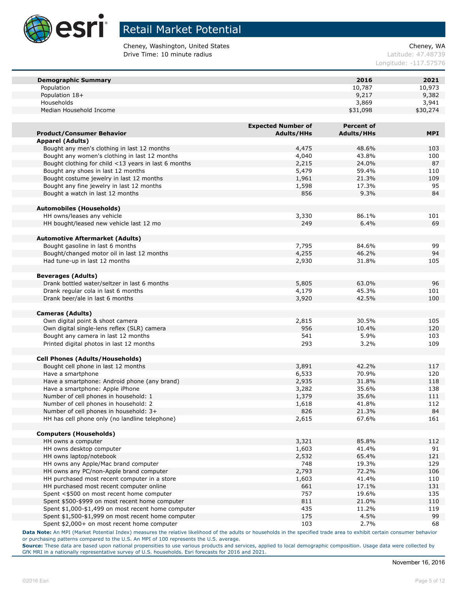

Cheney, Washington, United States Cheney, WA **Drive Time: 10 minute radius Latitude: 47.48739** 

Longitude: -117.57576

| <b>Demographic Summary</b>                           |                           | 2016              | 2021       |
|------------------------------------------------------|---------------------------|-------------------|------------|
| Population                                           |                           | 10,787            | 10,973     |
| Population 18+                                       |                           | 9,217             | 9,382      |
| Households                                           |                           | 3,869             | 3,941      |
| Median Household Income                              |                           | \$31,098          | \$30,274   |
|                                                      |                           |                   |            |
|                                                      | <b>Expected Number of</b> | <b>Percent of</b> |            |
| <b>Product/Consumer Behavior</b>                     | <b>Adults/HHs</b>         | <b>Adults/HHs</b> | <b>MPI</b> |
| <b>Apparel (Adults)</b>                              |                           |                   |            |
| Bought any men's clothing in last 12 months          | 4,475                     | 48.6%             | 103        |
| Bought any women's clothing in last 12 months        | 4,040                     | 43.8%             | 100        |
| Bought clothing for child <13 years in last 6 months | 2,215                     | 24.0%             | 87         |
| Bought any shoes in last 12 months                   | 5,479                     | 59.4%             | 110        |
| Bought costume jewelry in last 12 months             | 1,961                     | 21.3%             | 109        |
| Bought any fine jewelry in last 12 months            | 1,598                     | 17.3%             | 95         |
| Bought a watch in last 12 months                     | 856                       | 9.3%              | 84         |
|                                                      |                           |                   |            |
| <b>Automobiles (Households)</b>                      |                           |                   |            |
| HH owns/leases any vehicle                           | 3,330                     | 86.1%             | 101        |
| HH bought/leased new vehicle last 12 mo              | 249                       | 6.4%              | 69         |
|                                                      |                           |                   |            |
| <b>Automotive Aftermarket (Adults)</b>               |                           |                   |            |
| Bought gasoline in last 6 months                     | 7,795                     | 84.6%             | 99         |
| Bought/changed motor oil in last 12 months           | 4,255                     | 46.2%             | 94         |
| Had tune-up in last 12 months                        | 2,930                     | 31.8%             | 105        |
| <b>Beverages (Adults)</b>                            |                           |                   |            |
| Drank bottled water/seltzer in last 6 months         | 5,805                     | 63.0%             | 96         |
| Drank regular cola in last 6 months                  | 4,179                     | 45.3%             | 101        |
| Drank beer/ale in last 6 months                      | 3,920                     | 42.5%             | 100        |
|                                                      |                           |                   |            |
| <b>Cameras (Adults)</b>                              |                           |                   |            |
| Own digital point & shoot camera                     | 2,815                     | 30.5%             | 105        |
| Own digital single-lens reflex (SLR) camera          | 956                       | 10.4%             | 120        |
| Bought any camera in last 12 months                  | 541                       | 5.9%              | 103        |
| Printed digital photos in last 12 months             | 293                       | 3.2%              | 109        |
|                                                      |                           |                   |            |
| <b>Cell Phones (Adults/Households)</b>               |                           |                   |            |
| Bought cell phone in last 12 months                  | 3,891                     | 42.2%             | 117        |
| Have a smartphone                                    | 6,533                     | 70.9%             | 120        |
| Have a smartphone: Android phone (any brand)         | 2,935                     | 31.8%             | 118        |
| Have a smartphone: Apple iPhone                      | 3,282                     | 35.6%             | 138        |
| Number of cell phones in household: 1                | 1,379                     | 35.6%             | 111        |
| Number of cell phones in household: 2                | 1,618                     | 41.8%             | 112        |
| Number of cell phones in household: 3+               | 826                       | 21.3%             | 84         |
| HH has cell phone only (no landline telephone)       | 2,615                     | 67.6%             | 161        |
| <b>Computers (Households)</b>                        |                           |                   |            |
| HH owns a computer                                   | 3,321                     | 85.8%             | 112        |
| HH owns desktop computer                             | 1,603                     | 41.4%             | 91         |
| HH owns laptop/notebook                              | 2,532                     | 65.4%             | 121        |
| HH owns any Apple/Mac brand computer                 | 748                       | 19.3%             | 129        |
| HH owns any PC/non-Apple brand computer              | 2,793                     | 72.2%             | 106        |
| HH purchased most recent computer in a store         | 1,603                     | 41.4%             | 110        |
| HH purchased most recent computer online             | 661                       | 17.1%             | 131        |
| Spent <\$500 on most recent home computer            | 757                       | 19.6%             | 135        |
| Spent \$500-\$999 on most recent home computer       | 811                       | 21.0%             | 110        |
| Spent \$1,000-\$1,499 on most recent home computer   | 435                       | 11.2%             | 119        |
| Spent \$1,500-\$1,999 on most recent home computer   | 175                       | 4.5%              | 99         |
| Spent \$2,000+ on most recent home computer          | 103                       | 2.7%              | 68         |

**Data Note:** An MPI (Market Potential Index) measures the relative likelihood of the adults or households in the specified trade area to exhibit certain consumer behavior or purchasing patterns compared to the U.S. An MPI of 100 represents the U.S. average.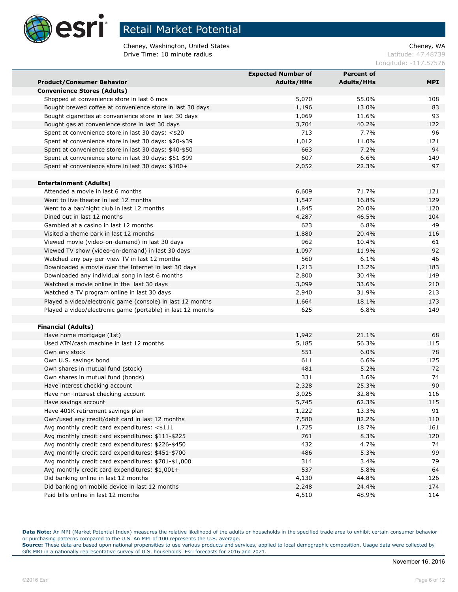

Cheney, Washington, United States Cheney, WA **Drive Time: 10 minute radius Latitude: 47.48739** 

Longitude: -117.57576

|                                                                                       | <b>Expected Number of</b> | <b>Percent of</b> |            |
|---------------------------------------------------------------------------------------|---------------------------|-------------------|------------|
| <b>Product/Consumer Behavior</b>                                                      | <b>Adults/HHs</b>         | <b>Adults/HHs</b> | <b>MPI</b> |
| <b>Convenience Stores (Adults)</b>                                                    |                           |                   |            |
| Shopped at convenience store in last 6 mos                                            | 5,070                     | 55.0%             | 108        |
| Bought brewed coffee at convenience store in last 30 days                             | 1,196                     | 13.0%             | 83         |
| Bought cigarettes at convenience store in last 30 days                                | 1,069                     | 11.6%             | 93         |
| Bought gas at convenience store in last 30 days                                       | 3,704                     | 40.2%             | 122        |
| Spent at convenience store in last 30 days: <\$20                                     | 713                       | 7.7%              | 96         |
| Spent at convenience store in last 30 days: \$20-\$39                                 | 1,012                     | 11.0%             | 121        |
| Spent at convenience store in last 30 days: \$40-\$50                                 | 663                       | 7.2%              | 94         |
| Spent at convenience store in last 30 days: \$51-\$99                                 | 607                       | 6.6%              | 149        |
| Spent at convenience store in last 30 days: \$100+                                    | 2,052                     | 22.3%             | 97         |
|                                                                                       |                           |                   |            |
| <b>Entertainment (Adults)</b>                                                         |                           |                   |            |
| Attended a movie in last 6 months                                                     | 6,609                     | 71.7%             | 121        |
| Went to live theater in last 12 months                                                | 1,547                     | 16.8%             | 129        |
| Went to a bar/night club in last 12 months                                            | 1,845                     | 20.0%             | 120        |
| Dined out in last 12 months                                                           | 4,287                     | 46.5%             | 104        |
| Gambled at a casino in last 12 months                                                 | 623                       | 6.8%              | 49         |
| Visited a theme park in last 12 months                                                | 1,880                     | 20.4%             | 116        |
| Viewed movie (video-on-demand) in last 30 days                                        | 962                       | 10.4%             | 61         |
| Viewed TV show (video-on-demand) in last 30 days                                      | 1,097                     | 11.9%             | 92         |
| Watched any pay-per-view TV in last 12 months                                         | 560                       | 6.1%              | 46         |
| Downloaded a movie over the Internet in last 30 days                                  | 1,213                     | 13.2%             | 183        |
| Downloaded any individual song in last 6 months                                       | 2,800                     | 30.4%             | 149        |
| Watched a movie online in the last 30 days                                            | 3,099                     | 33.6%             | 210        |
| Watched a TV program online in last 30 days                                           | 2,940                     | 31.9%             | 213        |
| Played a video/electronic game (console) in last 12 months                            | 1,664                     | 18.1%             | 173        |
| Played a video/electronic game (portable) in last 12 months                           | 625                       | 6.8%              | 149        |
|                                                                                       |                           |                   |            |
| <b>Financial (Adults)</b>                                                             |                           |                   |            |
| Have home mortgage (1st)                                                              | 1,942                     | 21.1%             | 68         |
| Used ATM/cash machine in last 12 months                                               | 5,185                     | 56.3%             | 115        |
| Own any stock                                                                         | 551                       | 6.0%              | 78         |
| Own U.S. savings bond                                                                 | 611                       | 6.6%              | 125        |
| Own shares in mutual fund (stock)                                                     | 481<br>331                | 5.2%              | 72<br>74   |
| Own shares in mutual fund (bonds)                                                     |                           | 3.6%              |            |
| Have interest checking account                                                        | 2,328                     | 25.3%             | 90         |
| Have non-interest checking account                                                    | 3,025                     | 32.8%             | 116        |
| Have savings account                                                                  | 5,745                     | 62.3%             | 115        |
| Have 401K retirement savings plan                                                     | 1,222                     | 13.3%             | 91         |
| Own/used any credit/debit card in last 12 months                                      | 7,580                     | 82.2%             | 110        |
| Avg monthly credit card expenditures: <\$111                                          | 1,725                     | 18.7%             | 161        |
| Avg monthly credit card expenditures: \$111-\$225                                     | 761                       | 8.3%              | 120        |
| Avg monthly credit card expenditures: \$226-\$450                                     | 432                       | 4.7%              | 74         |
| Avg monthly credit card expenditures: \$451-\$700                                     | 486                       | 5.3%              | 99         |
| Avg monthly credit card expenditures: \$701-\$1,000                                   | 314                       | 3.4%              | 79         |
| Avg monthly credit card expenditures: \$1,001+                                        | 537                       | 5.8%              | 64         |
| Did banking online in last 12 months                                                  | 4,130                     | 44.8%             | 126        |
| Did banking on mobile device in last 12 months<br>Paid bills online in last 12 months | 2,248<br>4,510            | 24.4%<br>48.9%    | 174<br>114 |
|                                                                                       |                           |                   |            |

**Data Note:** An MPI (Market Potential Index) measures the relative likelihood of the adults or households in the specified trade area to exhibit certain consumer behavior or purchasing patterns compared to the U.S. An MPI of 100 represents the U.S. average.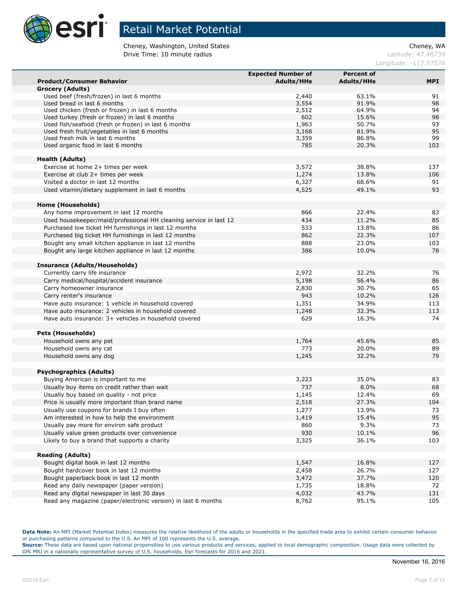

Cheney, Washington, United States Cheney, WA **Drive Time: 10 minute radius Latitude: 47.48739** 

Longitude: -117.57576

|                                                                   | <b>Expected Number of</b> | <b>Percent of</b> |           |
|-------------------------------------------------------------------|---------------------------|-------------------|-----------|
| <b>Product/Consumer Behavior</b>                                  | <b>Adults/HHs</b>         | <b>Adults/HHs</b> | MPI       |
| Grocery (Adults)                                                  |                           |                   |           |
| Used beef (fresh/frozen) in last 6 months                         | 2,440                     | 63.1%             | 91        |
| Used bread in last 6 months                                       | 3,554                     | 91.9%             | 98        |
| Used chicken (fresh or frozen) in last 6 months                   | 2,512                     | 64.9%             | 94        |
| Used turkey (fresh or frozen) in last 6 months                    | 602                       | 15.6%             | 98        |
| Used fish/seafood (fresh or frozen) in last 6 months              | 1,963                     | 50.7%             | 93        |
| Used fresh fruit/vegetables in last 6 months                      | 3,168                     | 81.9%             | 95        |
| Used fresh milk in last 6 months                                  | 3,359<br>785              | 86.8%<br>20.3%    | 99<br>103 |
| Used organic food in last 6 months                                |                           |                   |           |
| <b>Health (Adults)</b>                                            |                           |                   |           |
| Exercise at home 2+ times per week                                | 3,572                     | 38.8%             | 137       |
| Exercise at club 2+ times per week                                | 1,274                     | 13.8%             | 106       |
| Visited a doctor in last 12 months                                | 6,327                     | 68.6%             | 91        |
| Used vitamin/dietary supplement in last 6 months                  | 4,525                     | 49.1%             | 93        |
|                                                                   |                           |                   |           |
| Home (Households)                                                 |                           |                   |           |
| Any home improvement in last 12 months                            | 866                       | 22.4%             | 83        |
| Used housekeeper/maid/professional HH cleaning service in last 12 | 434                       | 11.2%             | 85        |
| Purchased low ticket HH furnishings in last 12 months             | 533                       | 13.8%             | 86        |
| Purchased big ticket HH furnishings in last 12 months             | 862                       | 22.3%             | 107       |
| Bought any small kitchen appliance in last 12 months              | 888                       | 23.0%             | 103       |
| Bought any large kitchen appliance in last 12 months              | 386                       | 10.0%             | 78        |
|                                                                   |                           |                   |           |
| <b>Insurance (Adults/Households)</b>                              |                           |                   |           |
| Currently carry life insurance                                    | 2,972                     | 32.2%             | 76        |
| Carry medical/hospital/accident insurance                         | 5,198                     | 56.4%             | 86        |
| Carry homeowner insurance                                         | 2,830                     | 30.7%             | 65        |
| Carry renter's insurance                                          | 943                       | 10.2%             | 126       |
| Have auto insurance: 1 vehicle in household covered               | 1,351                     | 34.9%             | 113       |
| Have auto insurance: 2 vehicles in household covered              | 1,248                     | 32.3%             | 113       |
| Have auto insurance: 3+ vehicles in household covered             | 629                       | 16.3%             | 74        |
|                                                                   |                           |                   |           |
| <b>Pets (Households)</b>                                          |                           |                   |           |
| Household owns any pet                                            | 1,764                     | 45.6%             | 85        |
| Household owns any cat                                            | 773                       | 20.0%             | 89        |
| Household owns any dog                                            | 1,245                     | 32.2%             | 79        |
| <b>Psychographics (Adults)</b>                                    |                           |                   |           |
| Buying American is important to me                                | 3,223                     | 35.0%             | 83        |
| Usually buy items on credit rather than wait                      | 737                       | 8.0%              | 68        |
| Usually buy based on quality - not price                          | 1,145                     | 12.4%             | 69        |
| Price is usually more important than brand name                   | 2,518                     | 27.3%             | 104       |
| Usually use coupons for brands I buy often                        | 1,277                     | 13.9%             | 73        |
| Am interested in how to help the environment                      | 1,419                     | 15.4%             | 95        |
| Usually pay more for environ safe product                         | 860                       | 9.3%              | 73        |
| Usually value green products over convenience                     | 930                       | 10.1%             | 96        |
| Likely to buy a brand that supports a charity                     | 3,325                     | 36.1%             | 103       |
|                                                                   |                           |                   |           |
| <b>Reading (Adults)</b>                                           |                           |                   |           |
| Bought digital book in last 12 months                             | 1,547                     | 16.8%             | 127       |
| Bought hardcover book in last 12 months                           | 2,458                     | 26.7%             | 127       |
| Bought paperback book in last 12 month                            | 3,472                     | 37.7%             | 120       |
| Read any daily newspaper (paper version)                          | 1,735                     | 18.8%             | 72        |
| Read any digital newspaper in last 30 days                        | 4,032                     | 43.7%             | 131       |
| Read any magazine (paper/electronic version) in last 6 months     | 8,762                     | 95.1%             | 105       |

**Data Note:** An MPI (Market Potential Index) measures the relative likelihood of the adults or households in the specified trade area to exhibit certain consumer behavior or purchasing patterns compared to the U.S. An MPI of 100 represents the U.S. average.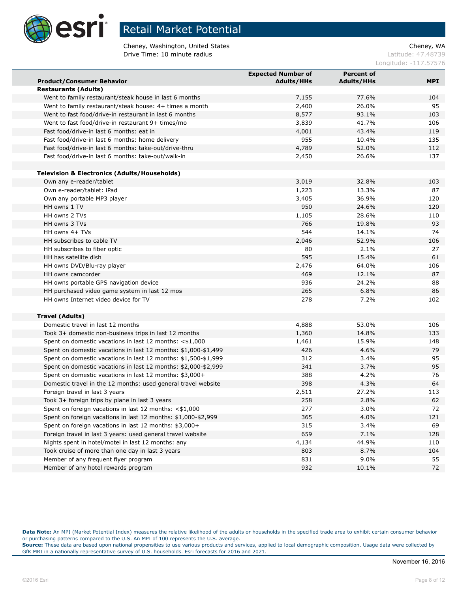

Cheney, Washington, United States Cheney, WA **Drive Time: 10 minute radius Latitude: 47.48739** 

Longitude: -117.57576

|                                                                | <b>Expected Number of</b> | <b>Percent of</b> |            |
|----------------------------------------------------------------|---------------------------|-------------------|------------|
| <b>Product/Consumer Behavior</b>                               | <b>Adults/HHs</b>         | <b>Adults/HHs</b> | <b>MPI</b> |
| <b>Restaurants (Adults)</b>                                    |                           |                   |            |
| Went to family restaurant/steak house in last 6 months         | 7,155                     | 77.6%             | 104        |
| Went to family restaurant/steak house: 4+ times a month        | 2,400                     | 26.0%             | 95         |
| Went to fast food/drive-in restaurant in last 6 months         | 8,577                     | 93.1%             | 103        |
| Went to fast food/drive-in restaurant 9+ times/mo              | 3,839                     | 41.7%             | 106        |
| Fast food/drive-in last 6 months: eat in                       | 4,001                     | 43.4%             | 119        |
| Fast food/drive-in last 6 months: home delivery                | 955                       | 10.4%             | 135        |
| Fast food/drive-in last 6 months: take-out/drive-thru          | 4,789                     | 52.0%             | 112        |
| Fast food/drive-in last 6 months: take-out/walk-in             | 2,450                     | 26.6%             | 137        |
|                                                                |                           |                   |            |
| <b>Television &amp; Electronics (Adults/Households)</b>        |                           |                   |            |
| Own any e-reader/tablet                                        | 3,019                     | 32.8%             | 103        |
| Own e-reader/tablet: iPad                                      | 1,223                     | 13.3%             | 87         |
| Own any portable MP3 player                                    | 3,405                     | 36.9%             | 120        |
| HH owns 1 TV                                                   | 950                       | 24.6%             | 120        |
| HH owns 2 TVs                                                  | 1,105                     | 28.6%             | 110        |
| HH owns 3 TVs                                                  | 766                       | 19.8%             | 93         |
| HH owns 4+ TVs                                                 | 544                       | 14.1%             | 74         |
| HH subscribes to cable TV                                      | 2,046                     | 52.9%             | 106        |
| HH subscribes to fiber optic                                   | 80                        | 2.1%              | 27         |
| HH has satellite dish                                          | 595                       | 15.4%             | 61         |
| HH owns DVD/Blu-ray player                                     | 2,476                     | 64.0%             | 106        |
| HH owns camcorder                                              | 469                       | 12.1%             | 87         |
| HH owns portable GPS navigation device                         | 936                       | 24.2%             | 88         |
| HH purchased video game system in last 12 mos                  | 265                       | 6.8%              | 86         |
| HH owns Internet video device for TV                           | 278                       | 7.2%              | 102        |
|                                                                |                           |                   |            |
| <b>Travel (Adults)</b>                                         |                           |                   |            |
| Domestic travel in last 12 months                              | 4,888                     | 53.0%             | 106        |
| Took 3+ domestic non-business trips in last 12 months          | 1,360                     | 14.8%             | 133        |
| Spent on domestic vacations in last 12 months: $<$ \$1,000     | 1,461                     | 15.9%             | 148        |
| Spent on domestic vacations in last 12 months: \$1,000-\$1,499 | 426                       | 4.6%              | 79         |
| Spent on domestic vacations in last 12 months: \$1,500-\$1,999 | 312                       | 3.4%              | 95         |
| Spent on domestic vacations in last 12 months: \$2,000-\$2,999 | 341                       | 3.7%              | 95         |
| Spent on domestic vacations in last 12 months: \$3,000+        | 388                       | 4.2%              | 76         |
| Domestic travel in the 12 months: used general travel website  | 398                       | 4.3%              | 64         |
| Foreign travel in last 3 years                                 | 2,511                     | 27.2%             | 113        |
| Took 3+ foreign trips by plane in last 3 years                 | 258                       | 2.8%              | 62         |
| Spent on foreign vacations in last 12 months: <\$1,000         | 277                       | 3.0%              | 72         |
|                                                                |                           |                   |            |
| Spent on foreign vacations in last 12 months: \$1,000-\$2,999  | 365<br>315                | 4.0%<br>3.4%      | 121<br>69  |
| Spent on foreign vacations in last 12 months: \$3,000+         |                           |                   |            |
| Foreign travel in last 3 years: used general travel website    | 659                       | 7.1%              | 128        |
| Nights spent in hotel/motel in last 12 months: any             | 4,134                     | 44.9%             | 110        |
| Took cruise of more than one day in last 3 years               | 803                       | 8.7%              | 104        |
| Member of any frequent flyer program                           | 831                       | $9.0\%$           | 55         |
| Member of any hotel rewards program                            | 932                       | 10.1%             | 72         |

**Data Note:** An MPI (Market Potential Index) measures the relative likelihood of the adults or households in the specified trade area to exhibit certain consumer behavior or purchasing patterns compared to the U.S. An MPI of 100 represents the U.S. average.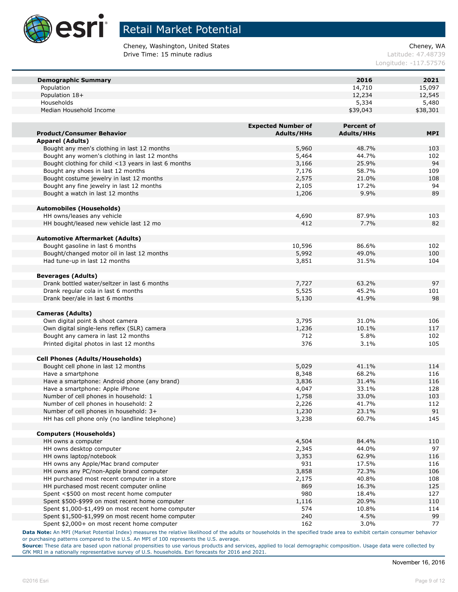

Cheney, Washington, United States Cheney, WA **Drive Time: 15 minute radius Latitude: 47.48739** 

Longitude: -117.57576

| <b>Demographic Summary</b>                           |                           | 2016              | 2021       |
|------------------------------------------------------|---------------------------|-------------------|------------|
| Population                                           |                           | 14,710            | 15,097     |
| Population 18+                                       |                           | 12,234            | 12,545     |
| Households                                           |                           | 5,334             | 5,480      |
| Median Household Income                              |                           | \$39,043          | \$38,301   |
|                                                      |                           |                   |            |
|                                                      | <b>Expected Number of</b> | <b>Percent of</b> |            |
| <b>Product/Consumer Behavior</b>                     | <b>Adults/HHs</b>         | <b>Adults/HHs</b> | <b>MPI</b> |
| <b>Apparel (Adults)</b>                              |                           |                   |            |
| Bought any men's clothing in last 12 months          | 5,960                     | 48.7%             | 103        |
| Bought any women's clothing in last 12 months        | 5,464                     | 44.7%             | 102        |
| Bought clothing for child <13 years in last 6 months | 3,166                     | 25.9%             | 94         |
| Bought any shoes in last 12 months                   | 7,176                     | 58.7%             | 109        |
| Bought costume jewelry in last 12 months             | 2,575                     | 21.0%             | 108        |
| Bought any fine jewelry in last 12 months            |                           |                   |            |
|                                                      | 2,105                     | 17.2%             | 94         |
| Bought a watch in last 12 months                     | 1,206                     | 9.9%              | 89         |
|                                                      |                           |                   |            |
| <b>Automobiles (Households)</b>                      |                           |                   |            |
| HH owns/leases any vehicle                           | 4,690                     | 87.9%             | 103        |
| HH bought/leased new vehicle last 12 mo              | 412                       | 7.7%              | 82         |
|                                                      |                           |                   |            |
| <b>Automotive Aftermarket (Adults)</b>               |                           |                   |            |
| Bought gasoline in last 6 months                     | 10,596                    | 86.6%             | 102        |
| Bought/changed motor oil in last 12 months           | 5,992                     | 49.0%             | 100        |
| Had tune-up in last 12 months                        | 3,851                     | 31.5%             | 104        |
|                                                      |                           |                   |            |
| <b>Beverages (Adults)</b>                            |                           |                   |            |
| Drank bottled water/seltzer in last 6 months         | 7,727                     | 63.2%             | 97         |
| Drank regular cola in last 6 months                  | 5,525                     | 45.2%             | 101        |
| Drank beer/ale in last 6 months                      | 5,130                     | 41.9%             | 98         |
|                                                      |                           |                   |            |
| <b>Cameras (Adults)</b>                              |                           |                   |            |
| Own digital point & shoot camera                     | 3,795                     | 31.0%             | 106        |
| Own digital single-lens reflex (SLR) camera          | 1,236                     | 10.1%             | 117        |
| Bought any camera in last 12 months                  | 712                       | 5.8%              | 102        |
| Printed digital photos in last 12 months             | 376                       | 3.1%              | 105        |
|                                                      |                           |                   |            |
| <b>Cell Phones (Adults/Households)</b>               |                           |                   |            |
| Bought cell phone in last 12 months                  | 5,029                     | 41.1%             | 114        |
| Have a smartphone                                    | 8,348                     | 68.2%             | 116        |
| Have a smartphone: Android phone (any brand)         | 3,836                     | 31.4%             | 116        |
| Have a smartphone: Apple iPhone                      | 4,047                     | 33.1%             | 128        |
| Number of cell phones in household: 1                | 1,758                     | 33.0%             | 103        |
| Number of cell phones in household: 2                | 2,226                     | 41.7%             | 112        |
| Number of cell phones in household: 3+               | 1,230                     | 23.1%             | 91         |
| HH has cell phone only (no landline telephone)       | 3,238                     | 60.7%             | 145        |
|                                                      |                           |                   |            |
| <b>Computers (Households)</b>                        |                           |                   |            |
| HH owns a computer                                   | 4,504                     | 84.4%             | 110        |
| HH owns desktop computer                             | 2,345                     | 44.0%             | 97         |
| HH owns laptop/notebook                              | 3,353                     | 62.9%             | 116        |
| HH owns any Apple/Mac brand computer                 | 931                       | 17.5%             | 116        |
| HH owns any PC/non-Apple brand computer              | 3,858                     | 72.3%             | 106        |
| HH purchased most recent computer in a store         | 2,175                     | 40.8%             | 108        |
| HH purchased most recent computer online             | 869                       | 16.3%             | 125        |
| Spent <\$500 on most recent home computer            | 980                       | 18.4%             | 127        |
| Spent \$500-\$999 on most recent home computer       | 1,116                     | 20.9%             | 110        |
| Spent \$1,000-\$1,499 on most recent home computer   | 574                       | 10.8%             | 114        |
| Spent \$1,500-\$1,999 on most recent home computer   | 240                       | 4.5%              | 99         |
| Spent \$2,000+ on most recent home computer          | 162                       | 3.0%              | 77         |

**Data Note:** An MPI (Market Potential Index) measures the relative likelihood of the adults or households in the specified trade area to exhibit certain consumer behavior or purchasing patterns compared to the U.S. An MPI of 100 represents the U.S. average.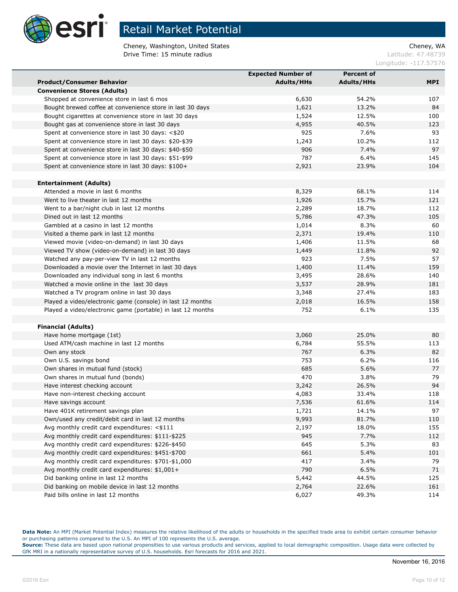

Cheney, Washington, United States Cheney, WA<br>
Drive Time: 15 minute radius Cheney, WA Cheney, WA Cheney, WA Cheney, WA Cheney, WA Drive Time: 15 minute radius

Longitude: -117.57576

|                                                             | <b>Expected Number of</b> | <b>Percent of</b> |            |
|-------------------------------------------------------------|---------------------------|-------------------|------------|
| <b>Product/Consumer Behavior</b>                            | <b>Adults/HHs</b>         | <b>Adults/HHs</b> | <b>MPI</b> |
| <b>Convenience Stores (Adults)</b>                          |                           |                   |            |
| Shopped at convenience store in last 6 mos                  | 6,630                     | 54.2%             | 107        |
| Bought brewed coffee at convenience store in last 30 days   | 1,621                     | 13.2%             | 84         |
| Bought cigarettes at convenience store in last 30 days      | 1,524                     | 12.5%             | 100        |
| Bought gas at convenience store in last 30 days             | 4,955                     | 40.5%             | 123        |
| Spent at convenience store in last 30 days: <\$20           | 925                       | 7.6%              | 93         |
| Spent at convenience store in last 30 days: \$20-\$39       | 1,243                     | 10.2%             | 112        |
| Spent at convenience store in last 30 days: \$40-\$50       | 906                       | 7.4%              | 97         |
| Spent at convenience store in last 30 days: \$51-\$99       | 787                       | 6.4%              | 145        |
| Spent at convenience store in last 30 days: \$100+          | 2,921                     | 23.9%             | 104        |
| <b>Entertainment (Adults)</b>                               |                           |                   |            |
| Attended a movie in last 6 months                           | 8,329                     | 68.1%             | 114        |
| Went to live theater in last 12 months                      | 1,926                     | 15.7%             | 121        |
| Went to a bar/night club in last 12 months                  | 2,289                     | 18.7%             | 112        |
| Dined out in last 12 months                                 | 5,786                     | 47.3%             | 105        |
| Gambled at a casino in last 12 months                       | 1,014                     | 8.3%              | 60         |
| Visited a theme park in last 12 months                      | 2,371                     | 19.4%             | 110        |
| Viewed movie (video-on-demand) in last 30 days              | 1,406                     | 11.5%             | 68         |
| Viewed TV show (video-on-demand) in last 30 days            | 1,449                     | 11.8%             | 92         |
| Watched any pay-per-view TV in last 12 months               | 923                       | 7.5%              | 57         |
| Downloaded a movie over the Internet in last 30 days        | 1,400                     | 11.4%             | 159        |
| Downloaded any individual song in last 6 months             | 3,495                     | 28.6%             | 140        |
| Watched a movie online in the last 30 days                  | 3,537                     | 28.9%             | 181        |
| Watched a TV program online in last 30 days                 | 3,348                     | 27.4%             | 183        |
| Played a video/electronic game (console) in last 12 months  | 2,018                     | 16.5%             | 158        |
| Played a video/electronic game (portable) in last 12 months | 752                       | 6.1%              | 135        |
|                                                             |                           |                   |            |
| <b>Financial (Adults)</b>                                   |                           |                   |            |
| Have home mortgage (1st)                                    | 3,060                     | 25.0%             | 80         |
| Used ATM/cash machine in last 12 months                     | 6,784                     | 55.5%             | 113        |
| Own any stock                                               | 767                       | 6.3%              | 82         |
| Own U.S. savings bond                                       | 753                       | 6.2%              | 116        |
| Own shares in mutual fund (stock)                           | 685                       | 5.6%              | 77         |
| Own shares in mutual fund (bonds)                           | 470                       | 3.8%              | 79         |
| Have interest checking account                              | 3,242                     | 26.5%             | 94         |
| Have non-interest checking account                          | 4,083                     | 33.4%             | 118        |
| Have savings account                                        | 7,536                     | 61.6%             | 114        |
| Have 401K retirement savings plan                           | 1,721                     | 14.1%             | 97         |
| Own/used any credit/debit card in last 12 months            | 9,993                     | 81.7%             | 110        |
| Avg monthly credit card expenditures: <\$111                | 2,197                     | 18.0%             | 155        |
| Avg monthly credit card expenditures: \$111-\$225           | 945                       | 7.7%              | 112        |
| Avg monthly credit card expenditures: \$226-\$450           | 645                       | 5.3%              | 83         |
| Avg monthly credit card expenditures: \$451-\$700           | 661                       | 5.4%              | 101        |
| Avg monthly credit card expenditures: \$701-\$1,000         | 417                       | 3.4%              | 79         |
| Avg monthly credit card expenditures: \$1,001+              | 790                       | 6.5%              | 71         |
| Did banking online in last 12 months                        | 5,442                     | 44.5%             | 125        |
| Did banking on mobile device in last 12 months              | 2,764                     | 22.6%             | 161        |
| Paid bills online in last 12 months                         | 6,027                     | 49.3%             | 114        |

**Data Note:** An MPI (Market Potential Index) measures the relative likelihood of the adults or households in the specified trade area to exhibit certain consumer behavior or purchasing patterns compared to the U.S. An MPI of 100 represents the U.S. average.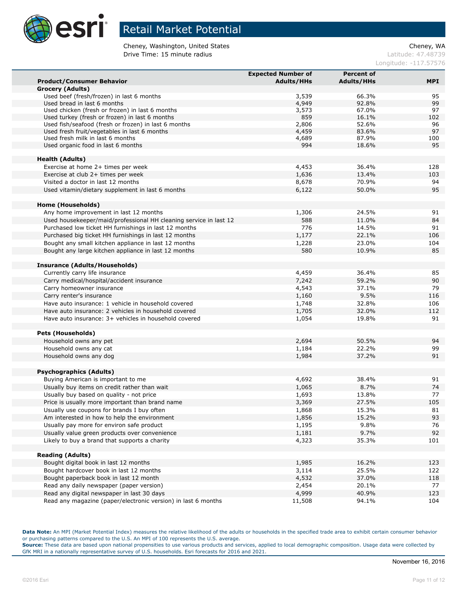

Cheney, Washington, United States Cheney, WA **Drive Time: 15 minute radius Latitude: 47.48739** 

Longitude: -117.57576

|                                                                   | <b>Expected Number of</b> | <b>Percent of</b> |      |
|-------------------------------------------------------------------|---------------------------|-------------------|------|
| <b>Product/Consumer Behavior</b>                                  | <b>Adults/HHs</b>         | <b>Adults/HHs</b> | MPI. |
| <b>Grocery (Adults)</b>                                           |                           |                   |      |
| Used beef (fresh/frozen) in last 6 months                         | 3,539                     | 66.3%             | 95   |
| Used bread in last 6 months                                       | 4,949                     | 92.8%             | 99   |
| Used chicken (fresh or frozen) in last 6 months                   | 3,573                     | 67.0%             | 97   |
| Used turkey (fresh or frozen) in last 6 months                    | 859                       | 16.1%             | 102  |
| Used fish/seafood (fresh or frozen) in last 6 months              | 2,806                     | 52.6%             | 96   |
| Used fresh fruit/vegetables in last 6 months                      | 4,459                     | 83.6%             | 97   |
| Used fresh milk in last 6 months                                  | 4,689                     | 87.9%             | 100  |
| Used organic food in last 6 months                                | 994                       | 18.6%             | 95   |
| <b>Health (Adults)</b>                                            |                           |                   |      |
| Exercise at home 2+ times per week                                | 4,453                     | 36.4%             | 128  |
| Exercise at club 2+ times per week                                | 1,636                     | 13.4%             | 103  |
| Visited a doctor in last 12 months                                | 8,678                     | 70.9%             | 94   |
| Used vitamin/dietary supplement in last 6 months                  | 6,122                     | 50.0%             | 95   |
|                                                                   |                           |                   |      |
| <b>Home (Households)</b>                                          |                           |                   |      |
| Any home improvement in last 12 months                            | 1,306                     | 24.5%             | 91   |
| Used housekeeper/maid/professional HH cleaning service in last 12 | 588                       | 11.0%             | 84   |
| Purchased low ticket HH furnishings in last 12 months             | 776                       | 14.5%             | 91   |
| Purchased big ticket HH furnishings in last 12 months             | 1,177                     | 22.1%             | 106  |
| Bought any small kitchen appliance in last 12 months              | 1,228                     | 23.0%             | 104  |
| Bought any large kitchen appliance in last 12 months              | 580                       | 10.9%             | 85   |
|                                                                   |                           |                   |      |
| <b>Insurance (Adults/Households)</b>                              |                           |                   |      |
| Currently carry life insurance                                    | 4,459                     | 36.4%             | 85   |
| Carry medical/hospital/accident insurance                         | 7,242                     | 59.2%             | 90   |
| Carry homeowner insurance                                         | 4,543                     | 37.1%             | 79   |
| Carry renter's insurance                                          | 1,160                     | 9.5%              | 116  |
| Have auto insurance: 1 vehicle in household covered               | 1,748                     | 32.8%             | 106  |
| Have auto insurance: 2 vehicles in household covered              | 1,705                     | 32.0%             | 112  |
| Have auto insurance: 3+ vehicles in household covered             | 1,054                     | 19.8%             | 91   |
|                                                                   |                           |                   |      |
| <b>Pets (Households)</b>                                          |                           |                   | 94   |
| Household owns any pet                                            | 2,694                     | 50.5%             | 99   |
| Household owns any cat<br>Household owns any dog                  | 1,184                     | 22.2%             | 91   |
|                                                                   | 1,984                     | 37.2%             |      |
| <b>Psychographics (Adults)</b>                                    |                           |                   |      |
| Buying American is important to me                                | 4,692                     | 38.4%             | 91   |
| Usually buy items on credit rather than wait                      | 1,065                     | 8.7%              | 74   |
| Usually buy based on quality - not price                          | 1,693                     | 13.8%             | 77   |
| Price is usually more important than brand name                   | 3,369                     | 27.5%             | 105  |
| Usually use coupons for brands I buy often                        | 1,868                     | 15.3%             | 81   |
| Am interested in how to help the environment                      | 1,856                     | 15.2%             | 93   |
| Usually pay more for environ safe product                         | 1,195                     | 9.8%              | 76   |
| Usually value green products over convenience                     | 1,181                     | 9.7%              | 92   |
| Likely to buy a brand that supports a charity                     | 4,323                     | 35.3%             | 101  |
|                                                                   |                           |                   |      |
| <b>Reading (Adults)</b>                                           |                           |                   |      |
| Bought digital book in last 12 months                             | 1,985                     | 16.2%             | 123  |
| Bought hardcover book in last 12 months                           | 3,114                     | 25.5%             | 122  |
| Bought paperback book in last 12 month                            | 4,532                     | 37.0%             | 118  |
| Read any daily newspaper (paper version)                          | 2,454                     | 20.1%             | 77   |
| Read any digital newspaper in last 30 days                        | 4,999                     | 40.9%             | 123  |
| Read any magazine (paper/electronic version) in last 6 months     | 11,508                    | 94.1%             | 104  |

**Data Note:** An MPI (Market Potential Index) measures the relative likelihood of the adults or households in the specified trade area to exhibit certain consumer behavior or purchasing patterns compared to the U.S. An MPI of 100 represents the U.S. average.